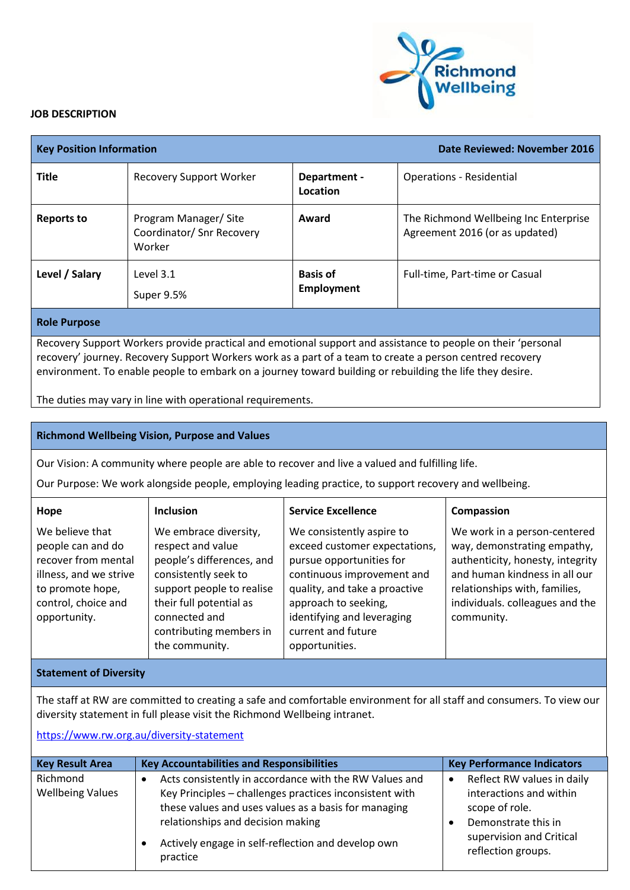

## **JOB DESCRIPTION**

| <b>Key Position Information</b>                                                                                                                                                                                                                                                                                                      |                                                              |                                      | Date Reviewed: November 2016                                            |
|--------------------------------------------------------------------------------------------------------------------------------------------------------------------------------------------------------------------------------------------------------------------------------------------------------------------------------------|--------------------------------------------------------------|--------------------------------------|-------------------------------------------------------------------------|
| <b>Title</b>                                                                                                                                                                                                                                                                                                                         | <b>Recovery Support Worker</b>                               | Department -<br>Location             | <b>Operations - Residential</b>                                         |
| <b>Reports to</b>                                                                                                                                                                                                                                                                                                                    | Program Manager/ Site<br>Coordinator/ Snr Recovery<br>Worker | Award                                | The Richmond Wellbeing Inc Enterprise<br>Agreement 2016 (or as updated) |
| Level / Salary                                                                                                                                                                                                                                                                                                                       | Level 3.1<br>Super 9.5%                                      | <b>Basis of</b><br><b>Employment</b> | Full-time, Part-time or Casual                                          |
| <b>Role Purpose</b>                                                                                                                                                                                                                                                                                                                  |                                                              |                                      |                                                                         |
| Recovery Support Workers provide practical and emotional support and assistance to people on their 'personal<br>recovery' journey. Recovery Support Workers work as a part of a team to create a person centred recovery<br>environment. To enable people to embark on a journey toward building or rebuilding the life they desire. |                                                              |                                      |                                                                         |
| The duties may vary in line with operational requirements.                                                                                                                                                                                                                                                                           |                                                              |                                      |                                                                         |

## **Richmond Wellbeing Vision, Purpose and Values**

Our Vision: A community where people are able to recover and live a valued and fulfilling life.

Our Purpose: We work alongside people, employing leading practice, to support recovery and wellbeing.

| Hope                                                                                                                                             | <b>Inclusion</b>                                                                                                                                                                                                      | <b>Service Excellence</b>                                                                                                                                                                                                                           | Compassion                                                                                                                                                                                                         |
|--------------------------------------------------------------------------------------------------------------------------------------------------|-----------------------------------------------------------------------------------------------------------------------------------------------------------------------------------------------------------------------|-----------------------------------------------------------------------------------------------------------------------------------------------------------------------------------------------------------------------------------------------------|--------------------------------------------------------------------------------------------------------------------------------------------------------------------------------------------------------------------|
| We believe that<br>people can and do<br>recover from mental<br>illness, and we strive<br>to promote hope,<br>control, choice and<br>opportunity. | We embrace diversity,<br>respect and value<br>people's differences, and<br>consistently seek to<br>support people to realise<br>their full potential as<br>connected and<br>contributing members in<br>the community. | We consistently aspire to<br>exceed customer expectations,<br>pursue opportunities for<br>continuous improvement and<br>quality, and take a proactive<br>approach to seeking,<br>identifying and leveraging<br>current and future<br>opportunities. | We work in a person-centered<br>way, demonstrating empathy,<br>authenticity, honesty, integrity<br>and human kindness in all our<br>relationships with, families,<br>individuals. colleagues and the<br>community. |
|                                                                                                                                                  |                                                                                                                                                                                                                       |                                                                                                                                                                                                                                                     |                                                                                                                                                                                                                    |

## **Statement of Diversity**

The staff at RW are committed to creating a safe and comfortable environment for all staff and consumers. To view our diversity statement in full please visit the Richmond Wellbeing intranet.

<https://www.rw.org.au/diversity-statement>

| <b>Key Result Area</b>              | <b>Key Accountabilities and Responsibilities</b>                                                                                                                                                                                                                                 | <b>Key Performance Indicators</b>                                                                                                                             |
|-------------------------------------|----------------------------------------------------------------------------------------------------------------------------------------------------------------------------------------------------------------------------------------------------------------------------------|---------------------------------------------------------------------------------------------------------------------------------------------------------------|
| Richmond<br><b>Wellbeing Values</b> | Acts consistently in accordance with the RW Values and<br>Key Principles - challenges practices inconsistent with<br>these values and uses values as a basis for managing<br>relationships and decision making<br>Actively engage in self-reflection and develop own<br>practice | Reflect RW values in daily<br>$\bullet$<br>interactions and within<br>scope of role.<br>Demonstrate this in<br>supervision and Critical<br>reflection groups. |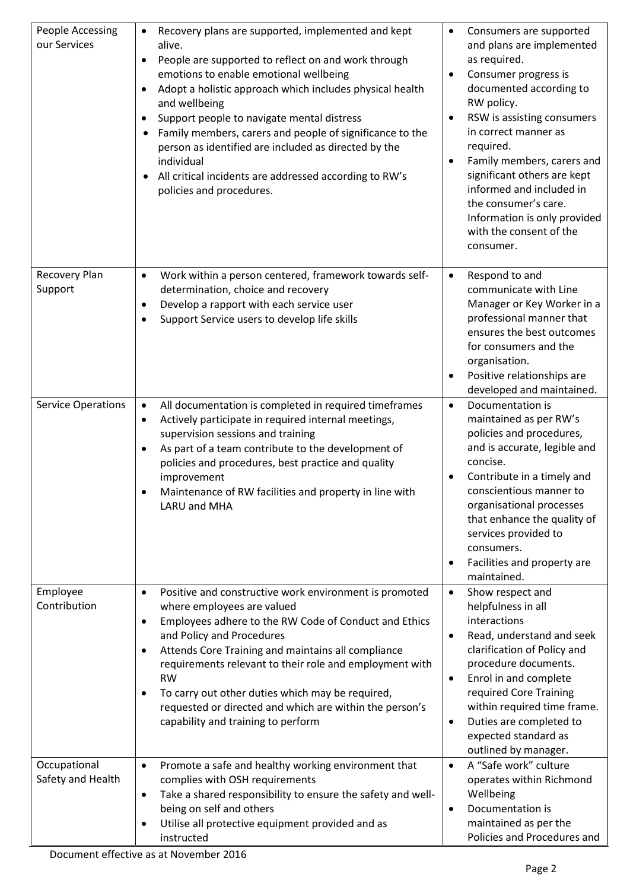| People Accessing<br>our Services  | Recovery plans are supported, implemented and kept<br>$\bullet$<br>alive.<br>People are supported to reflect on and work through<br>$\bullet$<br>emotions to enable emotional wellbeing<br>Adopt a holistic approach which includes physical health<br>and wellbeing<br>Support people to navigate mental distress<br>$\bullet$<br>Family members, carers and people of significance to the<br>person as identified are included as directed by the<br>individual<br>All critical incidents are addressed according to RW's<br>policies and procedures. | Consumers are supported<br>$\bullet$<br>and plans are implemented<br>as required.<br>Consumer progress is<br>$\bullet$<br>documented according to<br>RW policy.<br>RSW is assisting consumers<br>$\bullet$<br>in correct manner as<br>required.<br>Family members, carers and<br>$\bullet$<br>significant others are kept<br>informed and included in<br>the consumer's care.<br>Information is only provided<br>with the consent of the<br>consumer. |
|-----------------------------------|---------------------------------------------------------------------------------------------------------------------------------------------------------------------------------------------------------------------------------------------------------------------------------------------------------------------------------------------------------------------------------------------------------------------------------------------------------------------------------------------------------------------------------------------------------|-------------------------------------------------------------------------------------------------------------------------------------------------------------------------------------------------------------------------------------------------------------------------------------------------------------------------------------------------------------------------------------------------------------------------------------------------------|
| Recovery Plan<br>Support          | Work within a person centered, framework towards self-<br>٠<br>determination, choice and recovery<br>Develop a rapport with each service user<br>٠<br>Support Service users to develop life skills                                                                                                                                                                                                                                                                                                                                                      | Respond to and<br>$\bullet$<br>communicate with Line<br>Manager or Key Worker in a<br>professional manner that<br>ensures the best outcomes<br>for consumers and the<br>organisation.<br>Positive relationships are<br>$\bullet$<br>developed and maintained.                                                                                                                                                                                         |
| <b>Service Operations</b>         | All documentation is completed in required timeframes<br>$\bullet$<br>Actively participate in required internal meetings,<br>$\bullet$<br>supervision sessions and training<br>As part of a team contribute to the development of<br>٠<br>policies and procedures, best practice and quality<br>improvement<br>Maintenance of RW facilities and property in line with<br>LARU and MHA                                                                                                                                                                   | Documentation is<br>$\bullet$<br>maintained as per RW's<br>policies and procedures,<br>and is accurate, legible and<br>concise.<br>Contribute in a timely and<br>conscientious manner to<br>organisational processes<br>that enhance the quality of<br>services provided to<br>consumers.<br>Facilities and property are<br>$\bullet$<br>maintained.                                                                                                  |
| Employee<br>Contribution          | Positive and constructive work environment is promoted<br>$\bullet$<br>where employees are valued<br>Employees adhere to the RW Code of Conduct and Ethics<br>$\bullet$<br>and Policy and Procedures<br>Attends Core Training and maintains all compliance<br>٠<br>requirements relevant to their role and employment with<br><b>RW</b><br>To carry out other duties which may be required,<br>requested or directed and which are within the person's<br>capability and training to perform                                                            | Show respect and<br>$\bullet$<br>helpfulness in all<br>interactions<br>Read, understand and seek<br>$\bullet$<br>clarification of Policy and<br>procedure documents.<br>Enrol in and complete<br>$\bullet$<br>required Core Training<br>within required time frame.<br>Duties are completed to<br>$\bullet$<br>expected standard as<br>outlined by manager.                                                                                           |
| Occupational<br>Safety and Health | Promote a safe and healthy working environment that<br>$\bullet$<br>complies with OSH requirements<br>Take a shared responsibility to ensure the safety and well-<br>$\bullet$<br>being on self and others<br>Utilise all protective equipment provided and as<br>$\bullet$<br>instructed                                                                                                                                                                                                                                                               | A "Safe work" culture<br>$\bullet$<br>operates within Richmond<br>Wellbeing<br>Documentation is<br>$\bullet$<br>maintained as per the<br>Policies and Procedures and                                                                                                                                                                                                                                                                                  |